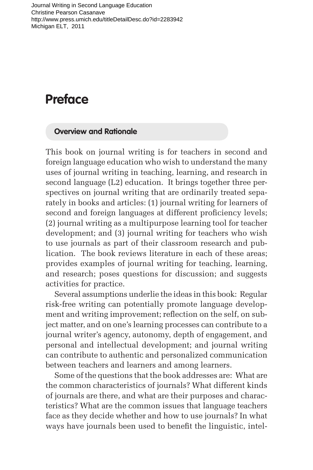Journal Writing in Second Language Education Christine Pearson Casanave http://www.press.umich.edu/titleDetailDesc.do?id=2283942 Michigan ELT, 2011

## **Preface**

## **Overview and Rationale**

This book on journal writing is for teachers in second and foreign language education who wish to understand the many uses of journal writing in teaching, learning, and research in second language (L2) education. It brings together three perspectives on journal writing that are ordinarily treated separately in books and articles: (1) journal writing for learners of second and foreign languages at different proficiency levels; (2) journal writing as a multipurpose learning tool for teacher development; and (3) journal writing for teachers who wish to use journals as part of their classroom research and publication. The book reviews literature in each of these areas; provides examples of journal writing for teaching, learning, and research; poses questions for discussion; and suggests activities for practice.

Several assumptions underlie the ideas in this book: Regular risk-free writing can potentially promote language development and writing improvement; reflection on the self, on subject matter, and on one's learning processes can contribute to a journal writer's agency, autonomy, depth of engagement, and personal and intellectual development; and journal writing can contribute to authentic and personalized communication between teachers and learners and among learners.

Some of the questions that the book addresses are: What are the common characteristics of journals? What different kinds of journals are there, and what are their purposes and characteristics? What are the common issues that language teachers face as they decide whether and how to use journals? In what ways have journals been used to benefit the linguistic, intel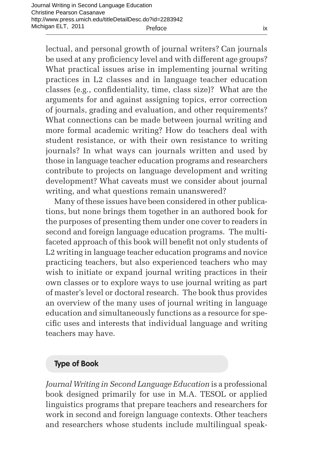lectual, and personal growth of journal writers? Can journals be used at any proficiency level and with different age groups? What practical issues arise in implementing journal writing practices in L2 classes and in language teacher education classes (e.g., confidentiality, time, class size)? What are the arguments for and against assigning topics, error correction of journals, grading and evaluation, and other requirements? What connections can be made between journal writing and more formal academic writing? How do teachers deal with student resistance, or with their own resistance to writing journals? In what ways can journals written and used by those in language teacher education programs and researchers contribute to projects on language development and writing development? What caveats must we consider about journal writing, and what questions remain unanswered?

Many of these issues have been considered in other publications, but none brings them together in an authored book for the purposes of presenting them under one cover to readers in second and foreign language education programs. The multifaceted approach of this book will benefit not only students of L2 writing in language teacher education programs and novice practicing teachers, but also experienced teachers who may wish to initiate or expand journal writing practices in their own classes or to explore ways to use journal writing as part of master's level or doctoral research. The book thus provides an overview of the many uses of journal writing in language education and simultaneously functions as a resource for specific uses and interests that individual language and writing teachers may have.

## **Type of Book**

*Journal Writing in Second Language Education* is a professional book designed primarily for use in M.A. TESOL or applied linguistics programs that prepare teachers and researchers for work in second and foreign language contexts. Other teachers and researchers whose students include multilingual speak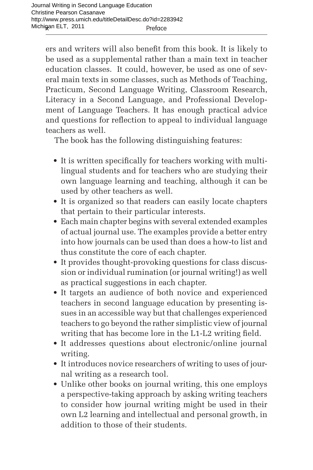ers and writers will also benefit from this book. It is likely to be used as a supplemental rather than a main text in teacher education classes. It could, however, be used as one of several main texts in some classes, such as Methods of Teaching, Practicum, Second Language Writing, Classroom Research, Literacy in a Second Language, and Professional Development of Language Teachers. It has enough practical advice and questions for reflection to appeal to individual language teachers as well.

The book has the following distinguishing features:

- It is written specifically for teachers working with multilingual students and for teachers who are studying their own language learning and teaching, although it can be used by other teachers as well.
- It is organized so that readers can easily locate chapters that pertain to their particular interests.
- Each main chapter begins with several extended examples of actual journal use. The examples provide a better entry into how journals can be used than does a how-to list and thus constitute the core of each chapter.
- It provides thought-provoking questions for class discussion or individual rumination (or journal writing!) as well as practical suggestions in each chapter.
- It targets an audience of both novice and experienced teachers in second language education by presenting issues in an accessible way but that challenges experienced teachers to go beyond the rather simplistic view of journal writing that has become lore in the L1-L2 writing field.
- It addresses questions about electronic/online journal writing.
- It introduces novice researchers of writing to uses of journal writing as a research tool.
- Unlike other books on journal writing, this one employs a perspective-taking approach by asking writing teachers to consider how journal writing might be used in their own L2 learning and intellectual and personal growth, in addition to those of their students.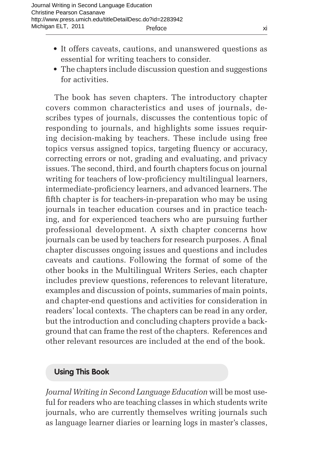- It offers caveats, cautions, and unanswered questions as essential for writing teachers to consider.
- The chapters include discussion question and suggestions for activities.

The book has seven chapters. The introductory chapter covers common characteristics and uses of journals, describes types of journals, discusses the contentious topic of responding to journals, and highlights some issues requiring decision-making by teachers. These include using free topics versus assigned topics, targeting fluency or accuracy, correcting errors or not, grading and evaluating, and privacy issues. The second, third, and fourth chapters focus on journal writing for teachers of low-proficiency multilingual learners, intermediate-proficiency learners, and advanced learners. The fifth chapter is for teachers-in-preparation who may be using journals in teacher education courses and in practice teaching, and for experienced teachers who are pursuing further professional development. A sixth chapter concerns how journals can be used by teachers for research purposes. A final chapter discusses ongoing issues and questions and includes caveats and cautions. Following the format of some of the other books in the Multilingual Writers Series, each chapter includes preview questions, references to relevant literature, examples and discussion of points, summaries of main points, and chapter-end questions and activities for consideration in readers' local contexts. The chapters can be read in any order, but the introduction and concluding chapters provide a background that can frame the rest of the chapters. References and other relevant resources are included at the end of the book.

## **Using This Book**

*Journal Writing in Second Language Education* will be most useful for readers who are teaching classes in which students write journals, who are currently themselves writing journals such as language learner diaries or learning logs in master's classes,